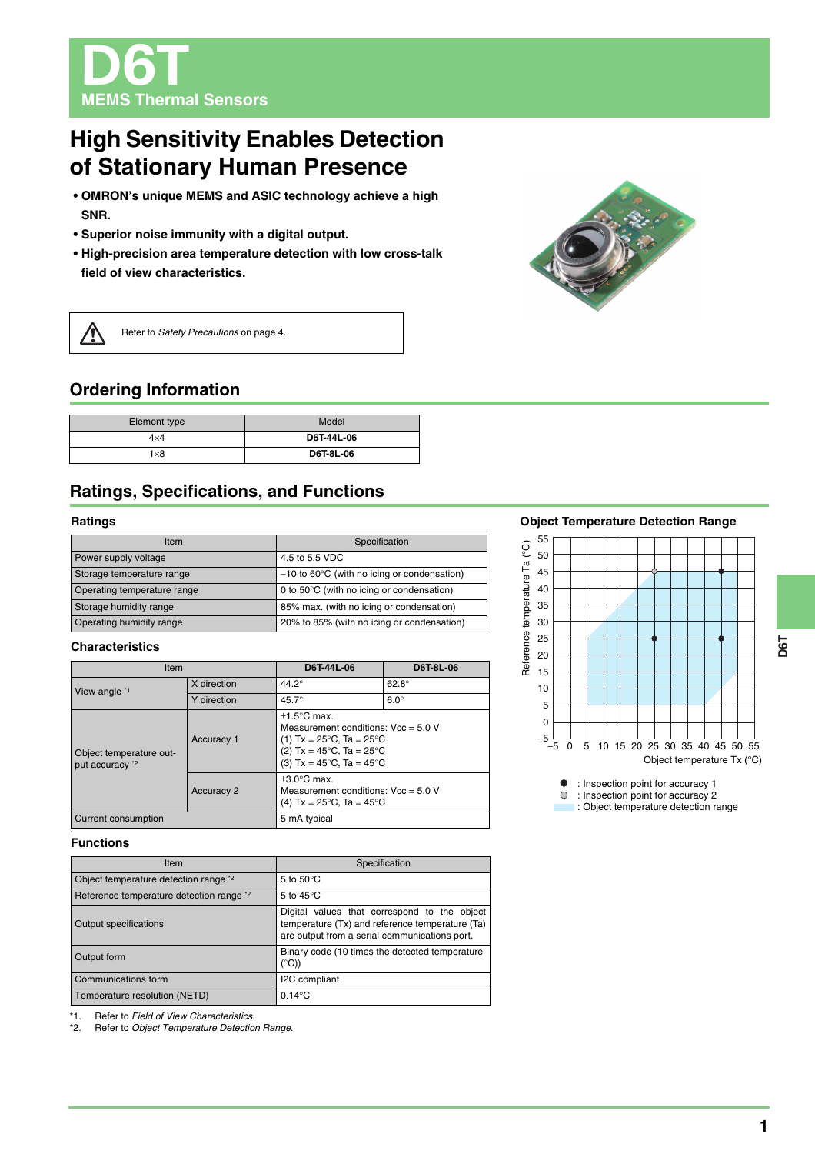D6T **MEMS Thermal Sensors**

# **High Sensitivity Enables Detection of Stationary Human Presence**

- **OMRON's unique MEMS and ASIC technology achieve a high SNR.**
- **Superior noise immunity with a digital output.**
- **High-precision area temperature detection with low cross-talk field of view characteristics.**



 $\sqrt{N}$ 

Refer to *Safety Precautions* on page 4.

# **Ordering Information**

| Element type | Model            |
|--------------|------------------|
| $4\times4$   | D6T-44L-06       |
| 1×8          | <b>D6T-8L-06</b> |

# **Ratings, Specifications, and Functions**

### **Ratings**

| Item                        | Specification                                           |
|-----------------------------|---------------------------------------------------------|
| Power supply voltage        | 4.5 to 5.5 VDC                                          |
| Storage temperature range   | $-10$ to 60 $\degree$ C (with no icing or condensation) |
| Operating temperature range | 0 to 50°C (with no icing or condensation)               |
| Storage humidity range      | 85% max. (with no icing or condensation)                |
| Operating humidity range    | 20% to 85% (with no icing or condensation)              |

### **Characteristics**

| Item                                       |                   | D6T-44L-06                                                                                                                                                                                                  | <b>D6T-8L-06</b> |
|--------------------------------------------|-------------------|-------------------------------------------------------------------------------------------------------------------------------------------------------------------------------------------------------------|------------------|
| View angle *1                              | X direction       | $44.2^\circ$                                                                                                                                                                                                | $62.8^\circ$     |
|                                            | Y direction       | $45.7^\circ$                                                                                                                                                                                                | $6.0^\circ$      |
| Object temperature out-<br>put accuracy *2 | Accuracy 1        | $+1.5^{\circ}$ C max.<br>Measurement conditions: $Vec = 5.0 V$<br>(1) $Tx = 25^{\circ}C$ , $Ta = 25^{\circ}C$<br>(2) $Tx = 45^{\circ}C$ , $Ta = 25^{\circ}C$<br>(3) $Tx = 45^{\circ}C$ , $Ta = 45^{\circ}C$ |                  |
|                                            | <b>Accuracy 2</b> | $+3.0^{\circ}$ C max.<br>Measurement conditions: $Vec = 5.0 V$<br>(4) $Tx = 25^{\circ}C$ , $Ta = 45^{\circ}C$                                                                                               |                  |
| Current consumption                        |                   | 5 mA typical                                                                                                                                                                                                |                  |

#### **Functions**

| Item                                               | Specification                                                                                                                                    |
|----------------------------------------------------|--------------------------------------------------------------------------------------------------------------------------------------------------|
| Object temperature detection range <sup>*2</sup>   | 5 to $50^{\circ}$ C                                                                                                                              |
| Reference temperature detection range <sup>2</sup> | 5 to $45^{\circ}$ C                                                                                                                              |
| <b>Output specifications</b>                       | Digital values that correspond to the object<br>temperature (Tx) and reference temperature (Ta)<br>are output from a serial communications port. |
| Output form                                        | Binary code (10 times the detected temperature<br>$(^{\circ}C)$                                                                                  |
| Communications form                                | I2C compliant                                                                                                                                    |
| Temperature resolution (NETD)                      | $0.14^{\circ}$ C                                                                                                                                 |

\*1. Refer to *Field of View Characteristics*.

**Refer to Object Temperature Detection Range.** 

## **Object Temperature Detection Range**



**•** : Inspection point for accuracy 1

: Inspection point for accuracy 2

: Object temperature detection range

**D6T**

**1**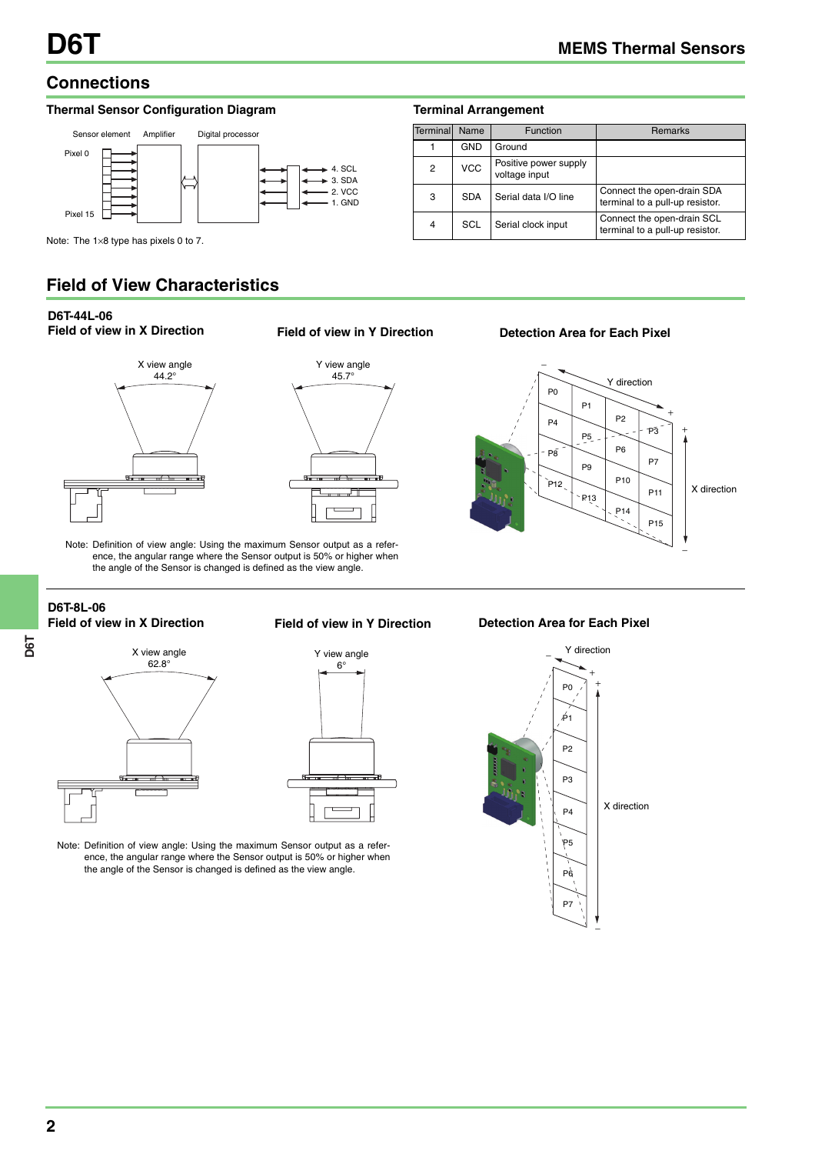# **Connections**

## **Thermal Sensor Configuration Diagram**



### **Terminal Arrangement**

| Terminal | Name       | <b>Function</b>                        | <b>Remarks</b>                                                |
|----------|------------|----------------------------------------|---------------------------------------------------------------|
|          | <b>GND</b> | Ground                                 |                                                               |
| 2        | <b>VCC</b> | Positive power supply<br>voltage input |                                                               |
| 3        | <b>SDA</b> | Serial data I/O line                   | Connect the open-drain SDA<br>terminal to a pull-up resistor. |
| 4        | SCL        | Serial clock input                     | Connect the open-drain SCL<br>terminal to a pull-up resistor. |

Note: The 1×8 type has pixels 0 to 7.

# **Field of View Characteristics**

# **D6T-44L-06**



# **Field of view in X Direction Field of view in Y Direction**



**Detection Area for Each Pixel**



Note: Definition of view angle: Using the maximum Sensor output as a reference, the angular range where the Sensor output is 50% or higher when the angle of the Sensor is changed is defined as the view angle.

# **D6T-8L-06**



#### **Field of view in X Direction Field of view in Y Direction**



Note: Definition of view angle: Using the maximum Sensor output as a reference, the angular range where the Sensor output is 50% or higher when the angle of the Sensor is changed is defined as the view angle.

### **Detection Area for Each Pixel**

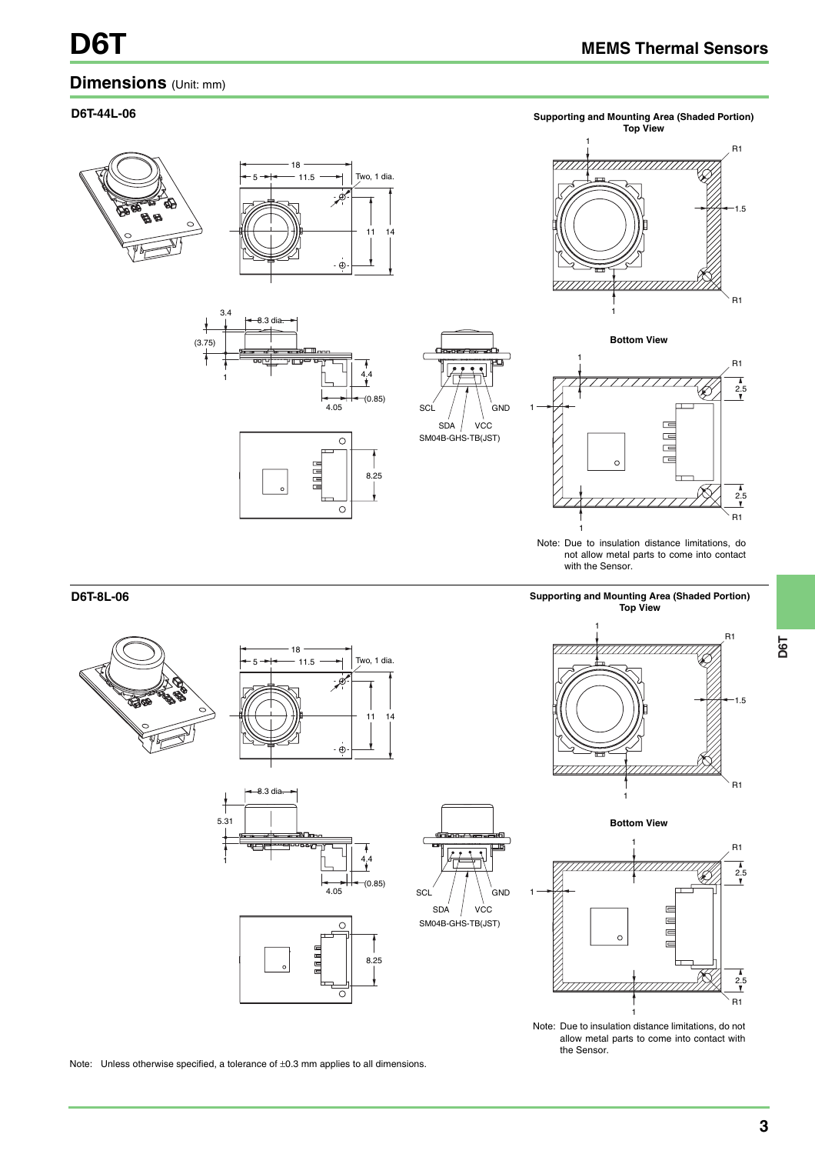1.5

R1

R1

 $\frac{1}{2.5}$ R1

 $\frac{2.5}{1}$ 

R1

#### **Dimensions** (Unit: mm) **D6T-44L-06 Supporting and Mounting Area (Shaded Portion) Top View** 1 18 <sup>t</sup>o, 1 dia. 5 11.5 . à 11 14  $\dot{\oplus}$ 7777777 3.4 1 8.3 dia. **Bottom View** (3.75) 1 4.4 1  $\leftarrow \leftarrow \leftarrow (0.85)$ SCL GND 1  $\equiv$ SDA VCC  $\frac{1}{\sqrt{2}}$ SM04B-GHS-TB(JST)  $\overline{\circ}$  $\overline{a}$  $\overline{ }$  $\sqrt{2}$ n a a a 8.25  $\circ$ 1 Note: Due to insulation distance limitations, do not allow metal parts to come into contact with the Sensor. **D6T-8L-06 Supporting and Mounting Area (Shaded Portion) Top View** 1 18 7777777X77777777777777777777 5 11.5 <sup>t</sup>o, 1 dia. 11 14  $\dot{\oplus}$  $8.3$  di 1 5.31 **Bottom View** 1  $^{4,4}$ 1 777777777 77777777777

Note: Unless otherwise specified, a tolerance of ±0.3 mm applies to all dimensions.



E 三回

1

 $\overline{C}$ 

the Sensor.

Note: Due to insulation distance limitations, do not allow metal parts to come into contact with

1

.<br>GND

SDA VCC

SM04B-GHS-TB(JST)

SCL

8.25

 $\leftarrow +$   $\leftarrow$  (0.85)<br>4.05

 $\overline{C}$ 

 $\overline{\circ}$ 

n n n i

 $\frac{2.5}{1}$ 

R1

 $\frac{1}{2.5}$ 

R1

R1

1.5

R1